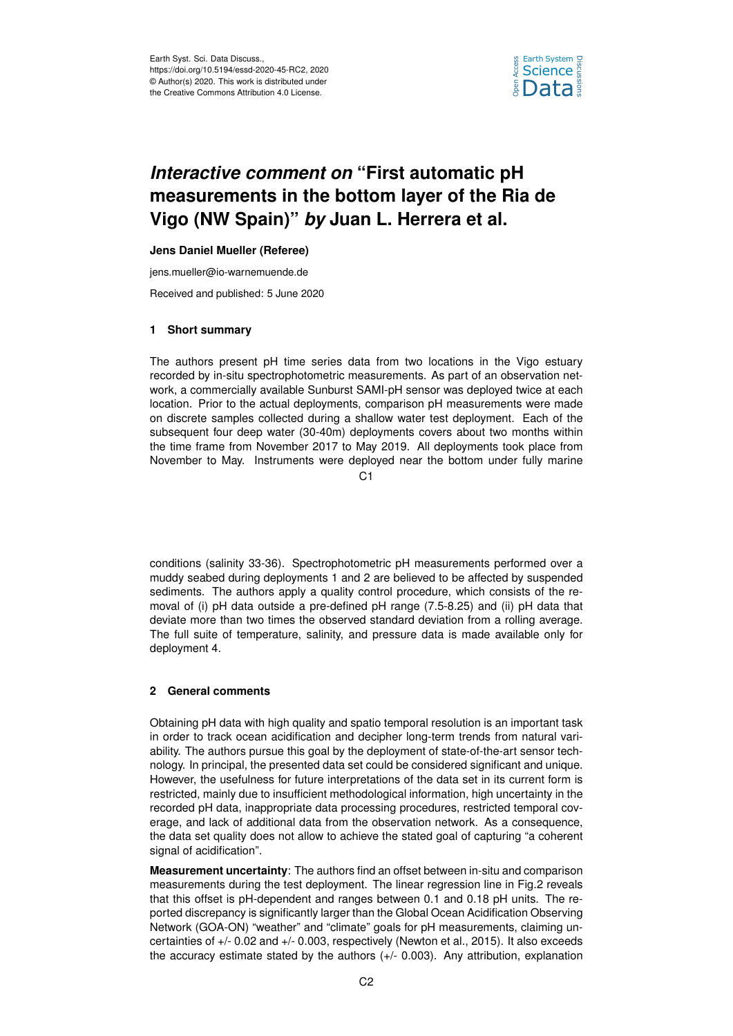

# *Interactive comment on* **"First automatic pH measurements in the bottom layer of the Ria de Vigo (NW Spain)"** *by* **Juan L. Herrera et al.**

## **Jens Daniel Mueller (Referee)**

jens.mueller@io-warnemuende.de

Received and published: 5 June 2020

## **1 Short summary**

The authors present pH time series data from two locations in the Vigo estuary recorded by in-situ spectrophotometric measurements. As part of an observation network, a commercially available Sunburst SAMI-pH sensor was deployed twice at each location. Prior to the actual deployments, comparison pH measurements were made on discrete samples collected during a shallow water test deployment. Each of the subsequent four deep water (30-40m) deployments covers about two months within the time frame from November 2017 to May 2019. All deployments took place from November to May. Instruments were deployed near the bottom under fully marine

### $C<sub>1</sub>$

conditions (salinity 33-36). Spectrophotometric pH measurements performed over a muddy seabed during deployments 1 and 2 are believed to be affected by suspended sediments. The authors apply a quality control procedure, which consists of the removal of (i) pH data outside a pre-defined pH range (7.5-8.25) and (ii) pH data that deviate more than two times the observed standard deviation from a rolling average. The full suite of temperature, salinity, and pressure data is made available only for deployment 4.

# **2 General comments**

Obtaining pH data with high quality and spatio temporal resolution is an important task in order to track ocean acidification and decipher long-term trends from natural variability. The authors pursue this goal by the deployment of state-of-the-art sensor technology. In principal, the presented data set could be considered significant and unique. However, the usefulness for future interpretations of the data set in its current form is restricted, mainly due to insufficient methodological information, high uncertainty in the recorded pH data, inappropriate data processing procedures, restricted temporal coverage, and lack of additional data from the observation network. As a consequence, the data set quality does not allow to achieve the stated goal of capturing "a coherent signal of acidification".

**Measurement uncertainty**: The authors find an offset between in-situ and comparison measurements during the test deployment. The linear regression line in Fig.2 reveals that this offset is pH-dependent and ranges between 0.1 and 0.18 pH units. The reported discrepancy is significantly larger than the Global Ocean Acidification Observing Network (GOA-ON) "weather" and "climate" goals for pH measurements, claiming uncertainties of +/- 0.02 and +/- 0.003, respectively (Newton et al., 2015). It also exceeds the accuracy estimate stated by the authors (+/- 0.003). Any attribution, explanation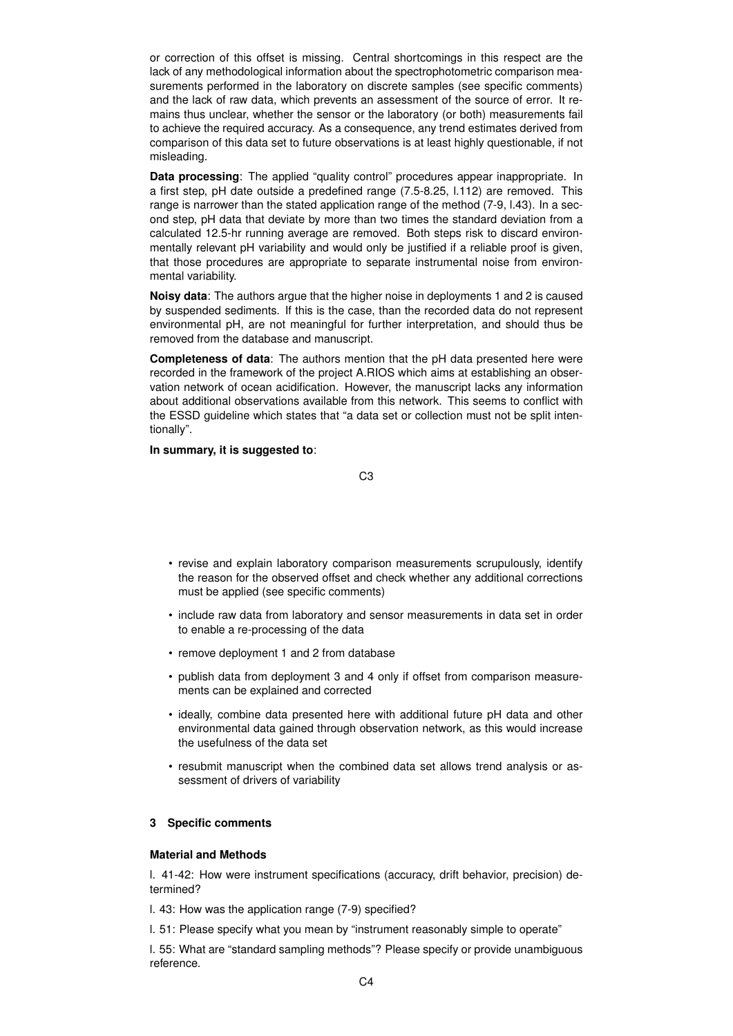or correction of this offset is missing. Central shortcomings in this respect are the lack of any methodological information about the spectrophotometric comparison measurements performed in the laboratory on discrete samples (see specific comments) and the lack of raw data, which prevents an assessment of the source of error. It remains thus unclear, whether the sensor or the laboratory (or both) measurements fail to achieve the required accuracy. As a consequence, any trend estimates derived from comparison of this data set to future observations is at least highly questionable, if not misleading.

**Data processing**: The applied "quality control" procedures appear inappropriate. In a first step, pH date outside a predefined range (7.5-8.25, l.112) are removed. This range is narrower than the stated application range of the method (7-9, l.43). In a second step, pH data that deviate by more than two times the standard deviation from a calculated 12.5-hr running average are removed. Both steps risk to discard environmentally relevant pH variability and would only be justified if a reliable proof is given, that those procedures are appropriate to separate instrumental noise from environmental variability.

**Noisy data**: The authors argue that the higher noise in deployments 1 and 2 is caused by suspended sediments. If this is the case, than the recorded data do not represent environmental pH, are not meaningful for further interpretation, and should thus be removed from the database and manuscript.

**Completeness of data**: The authors mention that the pH data presented here were recorded in the framework of the project A.RIOS which aims at establishing an observation network of ocean acidification. However, the manuscript lacks any information about additional observations available from this network. This seems to conflict with the ESSD guideline which states that "a data set or collection must not be split intentionally".

**In summary, it is suggested to**:

C3

- revise and explain laboratory comparison measurements scrupulously, identify the reason for the observed offset and check whether any additional corrections must be applied (see specific comments)
- include raw data from laboratory and sensor measurements in data set in order to enable a re-processing of the data
- remove deployment 1 and 2 from database
- publish data from deployment 3 and 4 only if offset from comparison measurements can be explained and corrected
- ideally, combine data presented here with additional future pH data and other environmental data gained through observation network, as this would increase the usefulness of the data set
- resubmit manuscript when the combined data set allows trend analysis or assessment of drivers of variability

# **3 Specific comments**

# **Material and Methods**

l. 41-42: How were instrument specifications (accuracy, drift behavior, precision) determined?

- l. 43: How was the application range (7-9) specified?
- l. 51: Please specify what you mean by "instrument reasonably simple to operate"

l. 55: What are "standard sampling methods"? Please specify or provide unambiguous reference.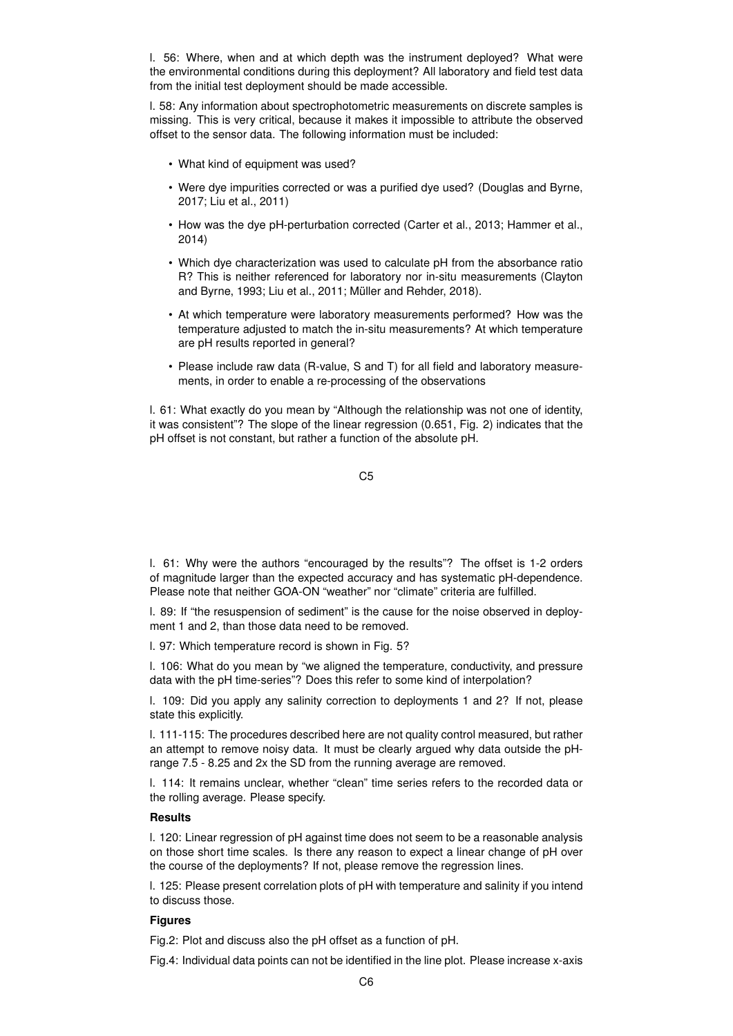l. 56: Where, when and at which depth was the instrument deployed? What were the environmental conditions during this deployment? All laboratory and field test data from the initial test deployment should be made accessible.

l. 58: Any information about spectrophotometric measurements on discrete samples is missing. This is very critical, because it makes it impossible to attribute the observed offset to the sensor data. The following information must be included:

- What kind of equipment was used?
- Were dye impurities corrected or was a purified dye used? (Douglas and Byrne, 2017; Liu et al., 2011)
- How was the dye pH-perturbation corrected (Carter et al., 2013; Hammer et al., 2014)
- Which dye characterization was used to calculate pH from the absorbance ratio R? This is neither referenced for laboratory nor in-situ measurements (Clayton and Byrne, 1993; Liu et al., 2011; Müller and Rehder, 2018).
- At which temperature were laboratory measurements performed? How was the temperature adjusted to match the in-situ measurements? At which temperature are pH results reported in general?
- Please include raw data (R-value, S and T) for all field and laboratory measurements, in order to enable a re-processing of the observations

l. 61: What exactly do you mean by "Although the relationship was not one of identity, it was consistent"? The slope of the linear regression (0.651, Fig. 2) indicates that the pH offset is not constant, but rather a function of the absolute pH.

l. 61: Why were the authors "encouraged by the results"? The offset is 1-2 orders of magnitude larger than the expected accuracy and has systematic pH-dependence. Please note that neither GOA-ON "weather" nor "climate" criteria are fulfilled.

l. 89: If "the resuspension of sediment" is the cause for the noise observed in deployment 1 and 2, than those data need to be removed.

l. 97: Which temperature record is shown in Fig. 5?

l. 106: What do you mean by "we aligned the temperature, conductivity, and pressure data with the pH time-series"? Does this refer to some kind of interpolation?

l. 109: Did you apply any salinity correction to deployments 1 and 2? If not, please state this explicitly.

l. 111-115: The procedures described here are not quality control measured, but rather an attempt to remove noisy data. It must be clearly argued why data outside the pHrange 7.5 - 8.25 and 2x the SD from the running average are removed.

l. 114: It remains unclear, whether "clean" time series refers to the recorded data or the rolling average. Please specify.

## **Results**

l. 120: Linear regression of pH against time does not seem to be a reasonable analysis on those short time scales. Is there any reason to expect a linear change of pH over the course of the deployments? If not, please remove the regression lines.

l. 125: Please present correlation plots of pH with temperature and salinity if you intend to discuss those.

#### **Figures**

Fig.2: Plot and discuss also the pH offset as a function of pH.

Fig.4: Individual data points can not be identified in the line plot. Please increase x-axis

C5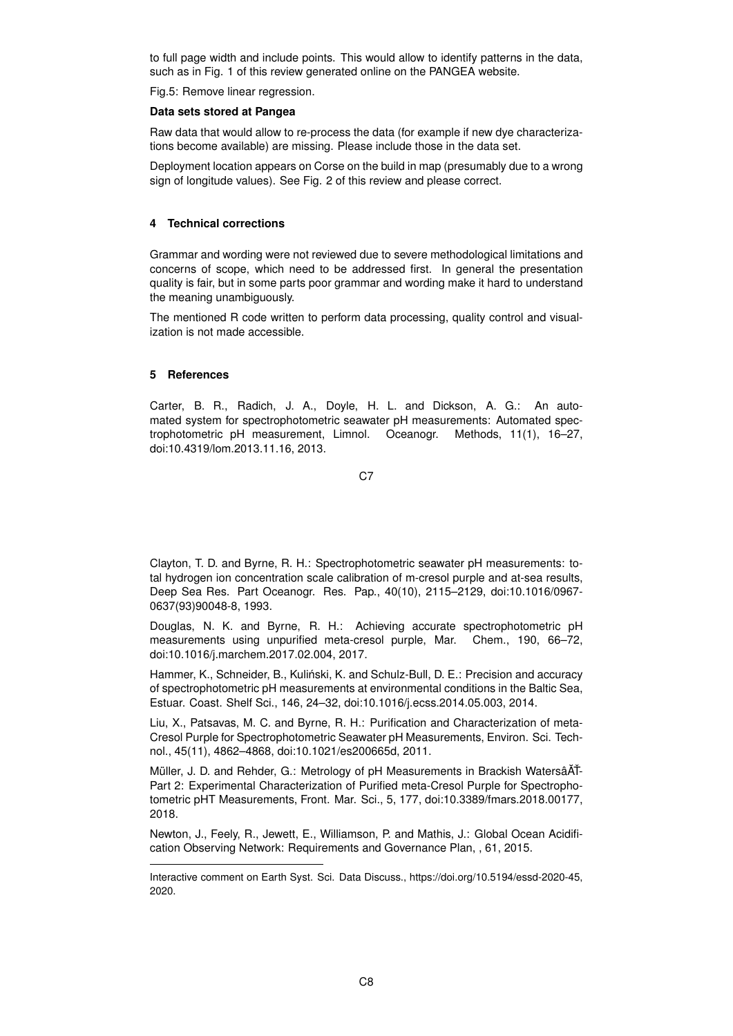to full page width and include points. This would allow to identify patterns in the data, such as in Fig. 1 of this review generated online on the PANGEA website.

Fig.5: Remove linear regression.

#### **Data sets stored at Pangea**

Raw data that would allow to re-process the data (for example if new dye characterizations become available) are missing. Please include those in the data set.

Deployment location appears on Corse on the build in map (presumably due to a wrong sign of longitude values). See Fig. 2 of this review and please correct.

### **4 Technical corrections**

Grammar and wording were not reviewed due to severe methodological limitations and concerns of scope, which need to be addressed first. In general the presentation quality is fair, but in some parts poor grammar and wording make it hard to understand the meaning unambiguously.

The mentioned R code written to perform data processing, quality control and visualization is not made accessible.

## **5 References**

Carter, B. R., Radich, J. A., Doyle, H. L. and Dickson, A. G.: An automated system for spectrophotometric seawater pH measurements: Automated spectrophotometric pH measurement, Limnol. Oceanogr. Methods, 11(1), 16–27, doi:10.4319/lom.2013.11.16, 2013.

C<sub>7</sub>

Clayton, T. D. and Byrne, R. H.: Spectrophotometric seawater pH measurements: total hydrogen ion concentration scale calibration of m-cresol purple and at-sea results, Deep Sea Res. Part Oceanogr. Res. Pap., 40(10), 2115–2129, doi:10.1016/0967- 0637(93)90048-8, 1993.

Douglas, N. K. and Byrne, R. H.: Achieving accurate spectrophotometric pH measurements using unpurified meta-cresol purple, Mar. Chem., 190, 66–72, doi:10.1016/j.marchem.2017.02.004, 2017.

Hammer, K., Schneider, B., Kulinski, K. and Schulz-Bull, D. E.: Precision and accuracy ´ of spectrophotometric pH measurements at environmental conditions in the Baltic Sea, Estuar. Coast. Shelf Sci., 146, 24–32, doi:10.1016/j.ecss.2014.05.003, 2014.

Liu, X., Patsavas, M. C. and Byrne, R. H.: Purification and Characterization of meta-Cresol Purple for Spectrophotometric Seawater pH Measurements, Environ. Sci. Technol., 45(11), 4862–4868, doi:10.1021/es200665d, 2011.

Müller, J. D. and Rehder, G.: Metrology of pH Measurements in Brackish WatersâAT-Part 2: Experimental Characterization of Purified meta-Cresol Purple for Spectrophotometric pHT Measurements, Front. Mar. Sci., 5, 177, doi:10.3389/fmars.2018.00177, 2018.

Newton, J., Feely, R., Jewett, E., Williamson, P. and Mathis, J.: Global Ocean Acidification Observing Network: Requirements and Governance Plan, , 61, 2015.

Interactive comment on Earth Syst. Sci. Data Discuss., https://doi.org/10.5194/essd-2020-45, 2020.